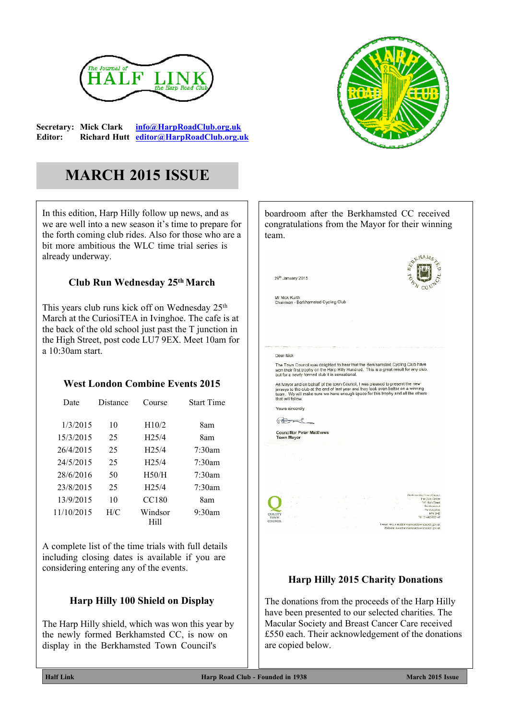

**Secretary: Mick Clark [info@HarpRoadClub.org.uk](mailto:info@HarpRoadClub.org.uk) Editor: Richard Hutt [editor@HarpRoadClub.org.uk](mailto:editor@HarpRoadClub.org.uk)**



# **MARCH 2015 ISSUE**

In this edition, Harp Hilly follow up news, and as we are well into a new season it's time to prepare for the forth coming club rides. Also for those who are a bit more ambitious the WLC time trial series is already underway.

#### **Club Run Wednesday 25th March**

This years club runs kick off on Wednesday 25<sup>th</sup> March at the CuriosiTEA in Ivinghoe. The cafe is at the back of the old school just past the T junction in the High Street, post code LU7 9EX. Meet 10am for a 10:30am start.

## **West London Combine Events 2015**

| Date       | Distance | Course          | <b>Start Time</b> |
|------------|----------|-----------------|-------------------|
| 1/3/2015   | 10       | H10/2           | 8am               |
| 15/3/2015  | 25       | H25/4           | 8am               |
| 26/4/2015  | 25       | H25/4           | $7:30$ am         |
| 24/5/2015  | 25       | H25/4           | $7.30$ am         |
| 28/6/2016  | 50       | H50/H           | $7:30$ am         |
| 23/8/2015  | 25       | H25/4           | $7:30$ am         |
| 13/9/2015  | 10       | CC180           | 8am               |
| 11/10/2015 | H/C      | Windsor<br>Hill | $9:30$ am         |

A complete list of the time trials with full details including closing dates is available if you are considering entering any of the events.

## **Harp Hilly 100 Shield on Display**

The Harp Hilly shield, which was won this year by the newly formed Berkhamsted CC, is now on display in the Berkhamsted Town Council's



# **Harp Hilly 2015 Charity Donations**

The donations from the proceeds of the Harp Hilly have been presented to our selected charities. The Macular Society and Breast Cancer Care received £550 each. Their acknowledgement of the donations are copied below.